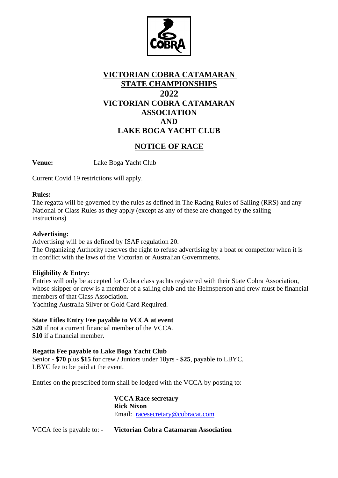

## **VICTORIAN COBRA CATAMARAN STATE CHAMPIONSHIPS 2022 VICTORIAN COBRA CATAMARAN ASSOCIATION AND LAKE BOGA YACHT CLUB**

## **NOTICE OF RACE**

**Venue:** Lake Boga Yacht Club

Current Covid 19 restrictions will apply.

#### **Rules:**

The regatta will be governed by the rules as defined in The Racing Rules of Sailing (RRS) and any National or Class Rules as they apply (except as any of these are changed by the sailing instructions)

#### **Advertising:**

Advertising will be as defined by ISAF regulation 20.

The Organizing Authority reserves the right to refuse advertising by a boat or competitor when it is in conflict with the laws of the Victorian or Australian Governments.

#### **Eligibility & Entry:**

Entries will only be accepted for Cobra class yachts registered with their State Cobra Association, whose skipper or crew is a member of a sailing club and the Helmsperson and crew must be financial members of that Class Association.

Yachting Australia Silver or Gold Card Required.

### **State Titles Entry Fee payable to VCCA at event**

**\$20** if not a current financial member of the VCCA. **\$10** if a financial member.

### **Regatta Fee payable to Lake Boga Yacht Club**

Senior - **\$70** plus **\$15** for crew **/** Juniors under 18yrs - **\$25**, payable to LBYC. LBYC fee to be paid at the event.

Entries on the prescribed form shall be lodged with the VCCA by posting to:

**VCCA Race secretary Rick Nixon** Email: racesecretary@cobracat.com

VCCA fee is payable to: - **Victorian Cobra Catamaran Association**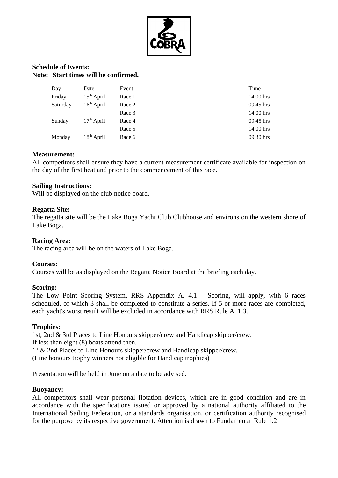

#### **Schedule of Events: Note: Start times will be confirmed.**

| Day      | Date         | Event  | Time        |
|----------|--------------|--------|-------------|
| Friday   | $15th$ April | Race 1 | 14.00 hrs   |
| Saturday | $16th$ April | Race 2 | 09.45 hrs   |
|          |              | Race 3 | 14.00 hrs   |
| Sunday   | $17th$ April | Race 4 | $09.45$ hrs |
|          |              | Race 5 | 14.00 hrs   |
| Monday   | $18th$ April | Race 6 | 09.30 hrs   |

#### **Measurement:**

All competitors shall ensure they have a current measurement certificate available for inspection on the day of the first heat and prior to the commencement of this race.

#### **Sailing Instructions:**

Will be displayed on the club notice board.

#### **Regatta Site:**

The regatta site will be the Lake Boga Yacht Club Clubhouse and environs on the western shore of Lake Boga.

#### **Racing Area:**

The racing area will be on the waters of Lake Boga.

#### **Courses:**

Courses will be as displayed on the Regatta Notice Board at the briefing each day.

#### **Scoring:**

The Low Point Scoring System, RRS Appendix A. 4.1 – Scoring, will apply, with 6 races scheduled, of which 3 shall be completed to constitute a series. If 5 or more races are completed, each yacht's worst result will be excluded in accordance with RRS Rule A. 1.3.

#### **Trophies:**

1st, 2nd & 3rd Places to Line Honours skipper/crew and Handicap skipper/crew. If less than eight (8) boats attend then, 1<sup>st</sup> & 2nd Places to Line Honours skipper/crew and Handicap skipper/crew. (Line honours trophy winners not eligible for Handicap trophies)

Presentation will be held in June on a date to be advised.

#### **Buoyancy:**

All competitors shall wear personal flotation devices, which are in good condition and are in accordance with the specifications issued or approved by a national authority affiliated to the International Sailing Federation, or a standards organisation, or certification authority recognised for the purpose by its respective government. Attention is drawn to Fundamental Rule 1.2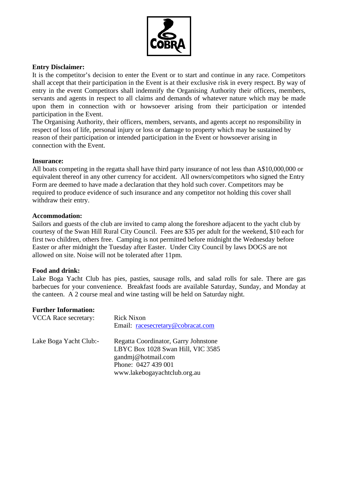

### **Entry Disclaimer:**

It is the competitor's decision to enter the Event or to start and continue in any race. Competitors shall accept that their participation in the Event is at their exclusive risk in every respect. By way of entry in the event Competitors shall indemnify the Organising Authority their officers, members, servants and agents in respect to all claims and demands of whatever nature which may be made upon them in connection with or howsoever arising from their participation or intended participation in the Event.

The Organising Authority, their officers, members, servants, and agents accept no responsibility in respect of loss of life, personal injury or loss or damage to property which may be sustained by reason of their participation or intended participation in the Event or howsoever arising in connection with the Event.

#### **Insurance:**

All boats competing in the regatta shall have third party insurance of not less than A\$10,000,000 or equivalent thereof in any other currency for accident. All owners/competitors who signed the Entry Form are deemed to have made a declaration that they hold such cover. Competitors may be required to produce evidence of such insurance and any competitor not holding this cover shall withdraw their entry.

#### **Accommodation:**

Sailors and guests of the club are invited to camp along the foreshore adjacent to the yacht club by courtesy of the Swan Hill Rural City Council. Fees are \$35 per adult for the weekend, \$10 each for first two children, others free. Camping is not permitted before midnight the Wednesday before Easter or after midnight the Tuesday after Easter. Under City Council by laws DOGS are not allowed on site. Noise will not be tolerated after 11pm.

#### **Food and drink:**

Lake Boga Yacht Club has pies, pasties, sausage rolls, and salad rolls for sale. There are gas barbecues for your convenience. Breakfast foods are available Saturday, Sunday, and Monday at the canteen. A 2 course meal and wine tasting will be held on Saturday night.

#### **Further Information:**

| VCCA Race secretary:   | <b>Rick Nixon</b><br>Email: racesecretary@cobracat.com                                                                                                 |
|------------------------|--------------------------------------------------------------------------------------------------------------------------------------------------------|
| Lake Boga Yacht Club:- | Regatta Coordinator, Garry Johnstone<br>LBYC Box 1028 Swan Hill, VIC 3585<br>gandmj@hotmail.com<br>Phone: 0427 439 001<br>www.lakebogayachtclub.org.au |